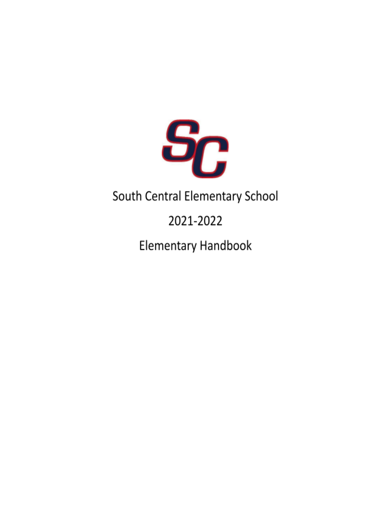

South Central Elementary School

# 2021-2022

Elementary Handbook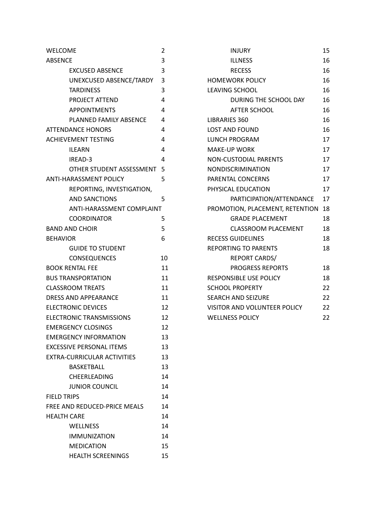| <b>WELCOME</b>                      | 2  |  |
|-------------------------------------|----|--|
| ABSENCE                             | 3  |  |
| EXCUSED ABSENCE                     | 3  |  |
| UNEXCUSED ABSENCE/TARDY             | 3  |  |
| <b>TARDINESS</b>                    | 3  |  |
| PROJECT ATTEND                      | 4  |  |
| <b>APPOINTMENTS</b>                 | 4  |  |
| PLANNED FAMILY ABSENCE              | 4  |  |
| <b>ATTENDANCE HONORS</b>            |    |  |
| ACHIEVEMENT TESTING                 | 4  |  |
| ILEARN                              | 4  |  |
| IREAD-3                             | 4  |  |
| OTHER STUDENT ASSESSMENT            | 5  |  |
| <b>ANTI-HARASSMENT POLICY</b>       | 5  |  |
| REPORTING, INVESTIGATION,           |    |  |
| <b>AND SANCTIONS</b>                | 5  |  |
| <b>ANTI-HARASSMENT COMPLAINT</b>    |    |  |
| <b>COORDINATOR</b>                  | 5  |  |
| BAND AND CHOIR                      | 5  |  |
| <b>BEHAVIOR</b>                     | 6  |  |
| <b>GUIDE TO STUDENT</b>             |    |  |
| <b>CONSEQUENCES</b>                 | 10 |  |
| <b>BOOK RENTAL FEE</b>              | 11 |  |
| <b>BUS TRANSPORTATION</b>           |    |  |
| <b>CLASSROOM TREATS</b>             |    |  |
| DRESS AND APPEARANCE                | 11 |  |
| <b>FLECTRONIC DEVICES</b>           |    |  |
| <b>ELECTRONIC TRANSMISSIONS</b>     | 12 |  |
| <b>FMFRGFNCY CLOSINGS</b>           | 12 |  |
| <b>EMERGENCY INFORMATION</b>        | 13 |  |
| <b>EXCESSIVE PERSONAL ITEMS</b>     | 13 |  |
| <b>EXTRA-CURRICULAR ACTIVITIES</b>  | 13 |  |
| <b>BASKETBALL</b>                   | 13 |  |
| CHEERLEADING                        | 14 |  |
| <b>JUNIOR COUNCIL</b>               | 14 |  |
| <b>FIELD TRIPS</b>                  | 14 |  |
| <b>FREE AND REDUCED-PRICE MEALS</b> | 14 |  |
| <b>HEALTH CARE</b>                  | 14 |  |
| <b>WELLNESS</b>                     | 14 |  |
| <b>IMMUNIZATION</b>                 | 14 |  |
| <b>MEDICATION</b>                   | 15 |  |
| <b>HEALTH SCREENINGS</b>            | 15 |  |

| <b>INJURY</b>                       | 15 |
|-------------------------------------|----|
| <b>ILLNESS</b>                      | 16 |
| <b>RECESS</b>                       | 16 |
| <b>HOMEWORK POLICY</b>              | 16 |
| <b>LEAVING SCHOOL</b>               | 16 |
| DURING THE SCHOOL DAY               | 16 |
| <b>AFTER SCHOOL</b>                 | 16 |
| LIBRARIES 360                       | 16 |
| <b>LOST AND FOUND</b>               | 16 |
| <b>LUNCH PROGRAM</b>                | 17 |
| <b>MAKE-UP WORK</b>                 | 17 |
| NON-CUSTODIAL PARENTS               | 17 |
| <b>NONDISCRIMINATION</b>            | 17 |
| PARENTAL CONCERNS                   | 17 |
| PHYSICAL EDUCATION                  | 17 |
| PARTICIPATION/ATTENDANCE            | 17 |
| PROMOTION, PLACEMENT, RETENTION     | 18 |
| <b>GRADE PLACEMENT</b>              | 18 |
| <b>CLASSROOM PLACEMENT</b>          | 18 |
| <b>RECESS GUIDELINES</b>            | 18 |
| <b>REPORTING TO PARENTS</b>         | 18 |
| <b>REPORT CARDS/</b>                |    |
| <b>PROGRESS REPORTS</b>             | 18 |
| RESPONSIBLE USE POLICY              | 18 |
| <b>SCHOOL PROPERTY</b>              | 22 |
| <b>SEARCH AND SEIZURE</b>           | 22 |
| <b>VISITOR AND VOLUNTEER POLICY</b> | 22 |
| <b>WELLNESS POLICY</b>              | 22 |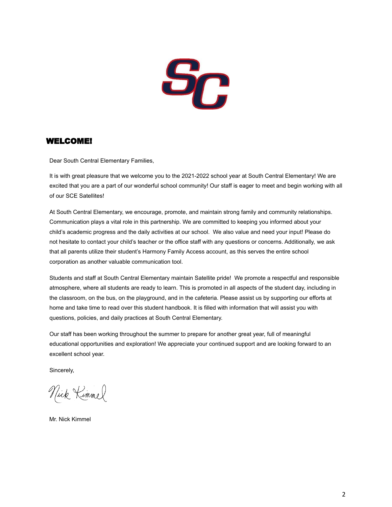

## WELCOME!

Dear South Central Elementary Families,

It is with great pleasure that we welcome you to the 2021-2022 school year at South Central Elementary! We are excited that you are a part of our wonderful school community! Our staff is eager to meet and begin working with all of our SCE Satellites!

At South Central Elementary, we encourage, promote, and maintain strong family and community relationships. Communication plays a vital role in this partnership. We are committed to keeping you informed about your child's academic progress and the daily activities at our school. We also value and need your input! Please do not hesitate to contact your child's teacher or the office staff with any questions or concerns. Additionally, we ask that all parents utilize their student's Harmony Family Access account, as this serves the entire school corporation as another valuable communication tool.

Students and staff at South Central Elementary maintain Satellite pride! We promote a respectful and responsible atmosphere, where all students are ready to learn. This is promoted in all aspects of the student day, including in the classroom, on the bus, on the playground, and in the cafeteria. Please assist us by supporting our efforts at home and take time to read over this student handbook. It is filled with information that will assist you with questions, policies, and daily practices at South Central Elementary.

Our staff has been working throughout the summer to prepare for another great year, full of meaningful educational opportunities and exploration! We appreciate your continued support and are looking forward to an excellent school year.

Sincerely,

Nick Kimmel

Mr. Nick Kimmel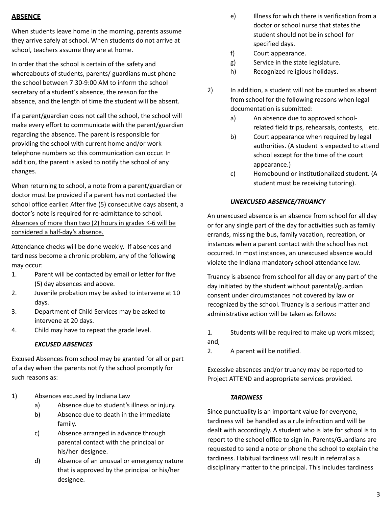## **ABSENCE**

When students leave home in the morning, parents assume they arrive safely at school. When students do not arrive at school, teachers assume they are at home.

In order that the school is certain of the safety and whereabouts of students, parents/ guardians must phone the school between 7:30-9:00 AM to inform the school secretary of a student's absence, the reason for the absence, and the length of time the student will be absent.

If a parent/guardian does not call the school, the school will make every effort to communicate with the parent/guardian regarding the absence. The parent is responsible for providing the school with current home and/or work telephone numbers so this communication can occur. In addition, the parent is asked to notify the school of any changes.

When returning to school, a note from a parent/guardian or doctor must be provided if a parent has not contacted the school office earlier. After five (5) consecutive days absent, a doctor's note is required for re-admittance to school. Absences of more than two (2) hours in grades K-6 will be considered a half-day's absence.

Attendance checks will be done weekly. If absences and tardiness become a chronic problem, any of the following may occur:

- 1. Parent will be contacted by email or letter for five (5) day absences and above.
- 2. Juvenile probation may be asked to intervene at 10 days.
- 3. Department of Child Services may be asked to intervene at 20 days.
- 4. Child may have to repeat the grade level.

#### *EXCUSED ABSENCES*

Excused Absences from school may be granted for all or part of a day when the parents notify the school promptly for such reasons as:

- 1) Absences excused by Indiana Law
	- a) Absence due to student's illness or injury.
	- b) Absence due to death in the immediate family.
	- c) Absence arranged in advance through parental contact with the principal or his/her designee.
	- d) Absence of an unusual or emergency nature that is approved by the principal or his/her designee.
- e) Illness for which there is verification from a doctor or school nurse that states the student should not be in school for specified days.
- f) Court appearance.
- g) Service in the state legislature.
- h) Recognized religious holidays.
- 2) In addition, a student will not be counted as absent from school for the following reasons when legal documentation is submitted:
	- a) An absence due to approved schoolrelated field trips, rehearsals, contests, etc.
	- b) Court appearance when required by legal authorities. (A student is expected to attend school except for the time of the court appearance.)
	- c) Homebound or institutionalized student. (A student must be receiving tutoring).

#### *UNEXCUSED ABSENCE/TRUANCY*

An unexcused absence is an absence from school for all day or for any single part of the day for activities such as family errands, missing the bus, family vacation, recreation, or instances when a parent contact with the school has not occurred. In most instances, an unexcused absence would violate the Indiana mandatory school attendance law.

Truancy is absence from school for all day or any part of the day initiated by the student without parental/guardian consent under circumstances not covered by law or recognized by the school. Truancy is a serious matter and administrative action will be taken as follows:

1. Students will be required to make up work missed; and,

2. A parent will be notified.

Excessive absences and/or truancy may be reported to Project ATTEND and appropriate services provided.

#### *TARDINESS*

Since punctuality is an important value for everyone, tardiness will be handled as a rule infraction and will be dealt with accordingly. A student who is late for school is to report to the school office to sign in. Parents/Guardians are requested to send a note or phone the school to explain the tardiness. Habitual tardiness will result in referral as a disciplinary matter to the principal. This includes tardiness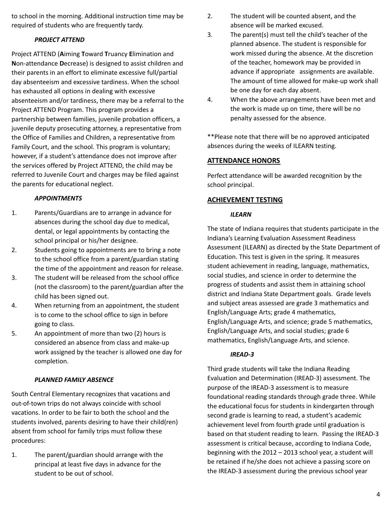to school in the morning. Additional instruction time may be required of students who are frequently tardy.

## *PROJECT ATTEND*

Project ATTEND (**A**iming **T**oward **T**ruancy **E**limination and **N**on-attendance **D**ecrease) is designed to assist children and their parents in an effort to eliminate excessive full/partial day absenteeism and excessive tardiness. When the school has exhausted all options in dealing with excessive absenteeism and/or tardiness, there may be a referral to the Project ATTEND Program. This program provides a partnership between families, juvenile probation officers, a juvenile deputy prosecuting attorney, a representative from the Office of Families and Children, a representative from Family Court, and the school. This program is voluntary; however, if a student's attendance does not improve after the services offered by Project ATTEND, the child may be referred to Juvenile Court and charges may be filed against the parents for educational neglect.

#### *APPOINTMENTS*

- 1. Parents/Guardians are to arrange in advance for absences during the school day due to medical, dental, or legal appointments by contacting the school principal or his/her designee.
- 2. Students going to appointments are to bring a note to the school office from a parent/guardian stating the time of the appointment and reason for release.
- 3. The student will be released from the school office (not the classroom) to the parent/guardian after the child has been signed out.
- 4. When returning from an appointment, the student is to come to the school office to sign in before going to class.
- 5. An appointment of more than two (2) hours is considered an absence from class and make-up work assigned by the teacher is allowed one day for completion.

#### *PLANNED FAMILY ABSENCE*

South Central Elementary recognizes that vacations and out-of-town trips do not always coincide with school vacations. In order to be fair to both the school and the students involved, parents desiring to have their child(ren) absent from school for family trips must follow these procedures:

1. The parent/guardian should arrange with the principal at least five days in advance for the student to be out of school.

- 2. The student will be counted absent, and the absence will be marked excused.
- 3. The parent(s) must tell the child's teacher of the planned absence. The student is responsible for work missed during the absence. At the discretion of the teacher, homework may be provided in advance if appropriate assignments are available. The amount of time allowed for make-up work shall be one day for each day absent.
- 4. When the above arrangements have been met and the work is made up on time, there will be no penalty assessed for the absence.

\*\*Please note that there will be no approved anticipated absences during the weeks of ILEARN testing.

# **ATTENDANCE HONORS**

Perfect attendance will be awarded recognition by the school principal.

## **ACHIEVEMENT TESTING**

## *ILEARN*

The state of Indiana requires that students participate in the Indiana's Learning Evaluation Assessment Readiness Assessment (ILEARN) as directed by the State Department of Education. This test is given in the spring. It measures student achievement in reading, language, mathematics, social studies, and science in order to determine the progress of students and assist them in attaining school district and Indiana State Department goals. Grade levels and subject areas assessed are grade 3 mathematics and English/Language Arts; grade 4 mathematics, English/Language Arts, and science; grade 5 mathematics, English/Language Arts, and social studies; grade 6 mathematics, English/Language Arts, and science.

#### *IREAD-3*

Third grade students will take the Indiana Reading Evaluation and Determination (IREAD-3) assessment. The purpose of the IREAD-3 assessment is to measure foundational reading standards through grade three. While the educational focus for students in kindergarten through second grade is learning to read, a student's academic achievement level from fourth grade until graduation is based on that student reading to learn. Passing the IREAD-3 assessment is critical because, according to Indiana Code, beginning with the 2012 – 2013 school year, a student will be retained if he/she does not achieve a passing score on the IREAD-3 assessment during the previous school year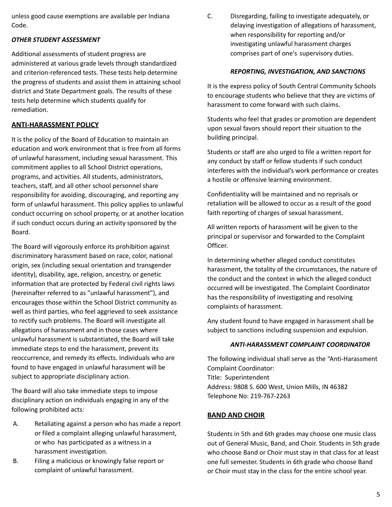unless good cause exemptions are available per Indiana Code.

## *OTHER STUDENT ASSESSMENT*

Additional assessments of student progress are administered at various grade levels through standardized and criterion-referenced tests. These tests help determine the progress of students and assist them in attaining school district and State Department goals. The results of these tests help determine which students qualify for remediation.

## **ANTI-HARASSMENT POLICY**

It is the policy of the Board of Education to maintain an education and work environment that is free from all forms of unlawful harassment, including sexual harassment. This commitment applies to all School District operations, programs, and activities. All students, administrators, teachers, staff, and all other school personnel share responsibility for avoiding, discouraging, and reporting any form of unlawful harassment. This policy applies to unlawful conduct occurring on school property, or at another location if such conduct occurs during an activity sponsored by the Board.

The Board will vigorously enforce its prohibition against discriminatory harassment based on race, color, national origin, sex (including sexual orientation and transgender identity), disability, age, religion, ancestry, or genetic information that are protected by Federal civil rights laws (hereinafter referred to as "unlawful harassment"), and encourages those within the School District community as well as third parties, who feel aggrieved to seek assistance to rectify such problems. The Board will investigate all allegations of harassment and in those cases where unlawful harassment is substantiated, the Board will take immediate steps to end the harassment, prevent its reoccurrence, and remedy its effects. Individuals who are found to have engaged in unlawful harassment will be subject to appropriate disciplinary action.

The Board will also take immediate steps to impose disciplinary action on individuals engaging in any of the following prohibited acts:

- A. Retaliating against a person who has made a report or filed a complaint alleging unlawful harassment, or who has participated as a witness in a harassment investigation.
- B. Filing a malicious or knowingly false report or complaint of unlawful harassment.

C. Disregarding, failing to investigate adequately, or delaying investigation of allegations of harassment, when responsibility for reporting and/or investigating unlawful harassment charges comprises part of one's supervisory duties.

#### *REPORTING, INVESTIGATION, AND SANCTIONS*

It is the express policy of South Central Community Schools to encourage students who believe that they are victims of harassment to come forward with such claims.

Students who feel that grades or promotion are dependent upon sexual favors should report their situation to the building principal.

Students or staff are also urged to file a written report for any conduct by staff or fellow students if such conduct interferes with the individual's work performance or creates a hostile or offensive learning environment.

Confidentiality will be maintained and no reprisals or retaliation will be allowed to occur as a result of the good faith reporting of charges of sexual harassment.

All written reports of harassment will be given to the principal or supervisor and forwarded to the Complaint Officer.

In determining whether alleged conduct constitutes harassment, the totality of the circumstances, the nature of the conduct and the context in which the alleged conduct occurred will be investigated. The Complaint Coordinator has the responsibility of investigating and resolving complaints of harassment.

Any student found to have engaged in harassment shall be subject to sanctions including suspension and expulsion.

#### *ANTI-HARASSMENT COMPLAINT COORDINATOR*

The following individual shall serve as the "Anti-Harassment Complaint Coordinator: Title: Superintendent Address: 9808 S. 600 West, Union Mills, IN 46382 Telephone No: 219-767-2263

## **BAND AND CHOIR**

Students in 5th and 6th grades may choose one music class out of General Music, Band, and Choir. Students in 5th grade who choose Band or Choir must stay in that class for at least one full semester. Students in 6th grade who choose Band or Choir must stay in the class for the entire school year.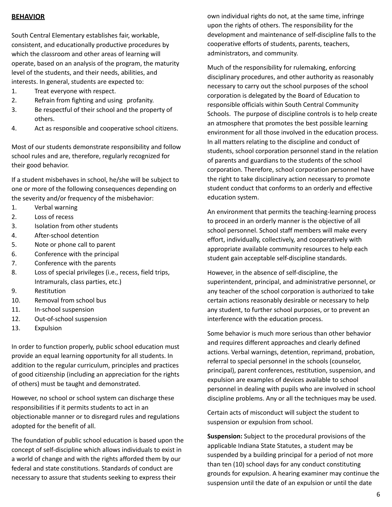#### **BEHAVIOR**

South Central Elementary establishes fair, workable, consistent, and educationally productive procedures by which the classroom and other areas of learning will operate, based on an analysis of the program, the maturity level of the students, and their needs, abilities, and interests. In general, students are expected to:

- 1. Treat everyone with respect.
- 2. Refrain from fighting and using profanity.
- 3. Be respectful of their school and the property of others.
- 4. Act as responsible and cooperative school citizens.

Most of our students demonstrate responsibility and follow school rules and are, therefore, regularly recognized for their good behavior.

If a student misbehaves in school, he/she will be subject to one or more of the following consequences depending on the severity and/or frequency of the misbehavior:

- 1. Verbal warning
- 2. Loss of recess
- 3. Isolation from other students
- 4. After-school detention
- 5. Note or phone call to parent
- 6. Conference with the principal
- 7. Conference with the parents
- 8. Loss of special privileges (i.e., recess, field trips, Intramurals, class parties, etc.)
- 9. Restitution
- 10. Removal from school bus
- 11. In-school suspension
- 12. Out-of-school suspension
- 13. Expulsion

In order to function properly, public school education must provide an equal learning opportunity for all students. In addition to the regular curriculum, principles and practices of good citizenship (including an appreciation for the rights of others) must be taught and demonstrated.

However, no school or school system can discharge these responsibilities if it permits students to act in an objectionable manner or to disregard rules and regulations adopted for the benefit of all.

The foundation of public school education is based upon the concept of self-discipline which allows individuals to exist in a world of change and with the rights afforded them by our federal and state constitutions. Standards of conduct are necessary to assure that students seeking to express their

own individual rights do not, at the same time, infringe upon the rights of others. The responsibility for the development and maintenance of self-discipline falls to the cooperative efforts of students, parents, teachers, administrators, and community.

Much of the responsibility for rulemaking, enforcing disciplinary procedures, and other authority as reasonably necessary to carry out the school purposes of the school corporation is delegated by the Board of Education to responsible officials within South Central Community Schools. The purpose of discipline controls is to help create an atmosphere that promotes the best possible learning environment for all those involved in the education process. In all matters relating to the discipline and conduct of students, school corporation personnel stand in the relation of parents and guardians to the students of the school corporation. Therefore, school corporation personnel have the right to take disciplinary action necessary to promote student conduct that conforms to an orderly and effective education system.

An environment that permits the teaching-learning process to proceed in an orderly manner is the objective of all school personnel. School staff members will make every effort, individually, collectively, and cooperatively with appropriate available community resources to help each student gain acceptable self-discipline standards.

However, in the absence of self-discipline, the superintendent, principal, and administrative personnel, or any teacher of the school corporation is authorized to take certain actions reasonably desirable or necessary to help any student, to further school purposes, or to prevent an interference with the education process.

Some behavior is much more serious than other behavior and requires different approaches and clearly defined actions. Verbal warnings, detention, reprimand, probation, referral to special personnel in the schools (counselor, principal), parent conferences, restitution, suspension, and expulsion are examples of devices available to school personnel in dealing with pupils who are involved in school discipline problems. Any or all the techniques may be used.

Certain acts of misconduct will subject the student to suspension or expulsion from school.

**Suspension:** Subject to the procedural provisions of the applicable Indiana State Statutes, a student may be suspended by a building principal for a period of not more than ten (10) school days for any conduct constituting grounds for expulsion. A hearing examiner may continue the suspension until the date of an expulsion or until the date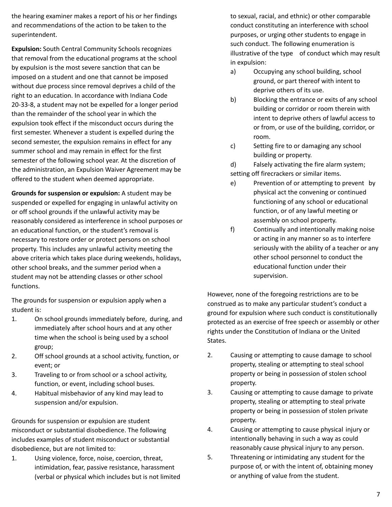the hearing examiner makes a report of his or her findings and recommendations of the action to be taken to the superintendent.

**Expulsion:** South Central Community Schools recognizes that removal from the educational programs at the school by expulsion is the most severe sanction that can be imposed on a student and one that cannot be imposed without due process since removal deprives a child of the right to an education. In accordance with Indiana Code 20-33-8, a student may not be expelled for a longer period than the remainder of the school year in which the expulsion took effect if the misconduct occurs during the first semester. Whenever a student is expelled during the second semester, the expulsion remains in effect for any summer school and may remain in effect for the first semester of the following school year. At the discretion of the administration, an Expulsion Waiver Agreement may be offered to the student when deemed appropriate.

**Grounds for suspension or expulsion:** A student may be suspended or expelled for engaging in unlawful activity on or off school grounds if the unlawful activity may be reasonably considered as interference in school purposes or an educational function, or the student's removal is necessary to restore order or protect persons on school property. This includes any unlawful activity meeting the above criteria which takes place during weekends, holidays, other school breaks, and the summer period when a student may not be attending classes or other school functions.

The grounds for suspension or expulsion apply when a student is:

- 1. On school grounds immediately before, during, and immediately after school hours and at any other time when the school is being used by a school group;
- 2. Off school grounds at a school activity, function, or event; or
- 3. Traveling to or from school or a school activity, function, or event, including school buses.
- 4. Habitual misbehavior of any kind may lead to suspension and/or expulsion.

Grounds for suspension or expulsion are student misconduct or substantial disobedience. The following includes examples of student misconduct or substantial disobedience, but are not limited to:

1. Using violence, force, noise, coercion, threat, intimidation, fear, passive resistance, harassment (verbal or physical which includes but is not limited to sexual, racial, and ethnic) or other comparable conduct constituting an interference with school purposes, or urging other students to engage in such conduct. The following enumeration is illustrative of the type of conduct which may result in expulsion:

- a) Occupying any school building, school ground, or part thereof with intent to deprive others of its use.
- b) Blocking the entrance or exits of any school building or corridor or room therein with intent to deprive others of lawful access to or from, or use of the building, corridor, or room.
- c) Setting fire to or damaging any school building or property.
- d) Falsely activating the fire alarm system; setting off firecrackers or similar items.
- e) Prevention of or attempting to prevent by physical act the convening or continued functioning of any school or educational function, or of any lawful meeting or assembly on school property.
- f) Continually and intentionally making noise or acting in any manner so as to interfere seriously with the ability of a teacher or any other school personnel to conduct the educational function under their supervision.

However, none of the foregoing restrictions are to be construed as to make any particular student's conduct a ground for expulsion where such conduct is constitutionally protected as an exercise of free speech or assembly or other rights under the Constitution of Indiana or the United States.

- 2. Causing or attempting to cause damage to school property, stealing or attempting to steal school property or being in possession of stolen school property.
- 3. Causing or attempting to cause damage to private property, stealing or attempting to steal private property or being in possession of stolen private property.
- 4. Causing or attempting to cause physical injury or intentionally behaving in such a way as could reasonably cause physical injury to any person.
- 5. Threatening or intimidating any student for the purpose of, or with the intent of, obtaining money or anything of value from the student.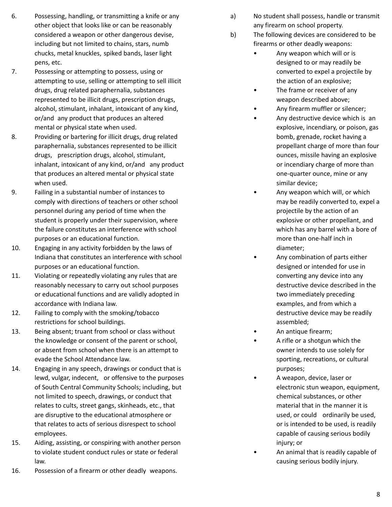- 6. Possessing, handling, or transmitting a knife or any other object that looks like or can be reasonably considered a weapon or other dangerous devise, including but not limited to chains, stars, numb chucks, metal knuckles, spiked bands, laser light pens, etc.
- 7. Possessing or attempting to possess, using or attempting to use, selling or attempting to sell illicit drugs, drug related paraphernalia, substances represented to be illicit drugs, prescription drugs, alcohol, stimulant, inhalant, intoxicant of any kind, or/and any product that produces an altered mental or physical state when used.
- 8. Providing or bartering for illicit drugs, drug related paraphernalia, substances represented to be illicit drugs, prescription drugs, alcohol, stimulant, inhalant, intoxicant of any kind, or/and any product that produces an altered mental or physical state when used.
- 9. Failing in a substantial number of instances to comply with directions of teachers or other school personnel during any period of time when the student is properly under their supervision, where the failure constitutes an interference with school purposes or an educational function.
- 10. Engaging in any activity forbidden by the laws of Indiana that constitutes an interference with school purposes or an educational function.
- 11. Violating or repeatedly violating any rules that are reasonably necessary to carry out school purposes or educational functions and are validly adopted in accordance with Indiana law.
- 12. Failing to comply with the smoking/tobacco restrictions for school buildings.
- 13. Being absent; truant from school or class without the knowledge or consent of the parent or school, or absent from school when there is an attempt to evade the School Attendance law.
- 14. Engaging in any speech, drawings or conduct that is lewd, vulgar, indecent, or offensive to the purposes of South Central Community Schools; including, but not limited to speech, drawings, or conduct that relates to cults, street gangs, skinheads, etc., that are disruptive to the educational atmosphere or that relates to acts of serious disrespect to school employees.
- 15. Aiding, assisting, or conspiring with another person to violate student conduct rules or state or federal law.
- 16. Possession of a firearm or other deadly weapons.
- a) No student shall possess, handle or transmit any firearm on school property.
- b) The following devices are considered to be firearms or other deadly weapons:
	- Any weapon which will or is designed to or may readily be converted to expel a projectile by the action of an explosive;
	- The frame or receiver of any weapon described above;
	- Any firearm muffler or silencer;
		- Any destructive device which is an explosive, incendiary, or poison, gas bomb, grenade, rocket having a propellant charge of more than four ounces, missile having an explosive or incendiary charge of more than one-quarter ounce, mine or any similar device;
		- Any weapon which will, or which may be readily converted to, expel a projectile by the action of an explosive or other propellant, and which has any barrel with a bore of more than one-half inch in diameter;
		- Any combination of parts either designed or intended for use in converting any device into any destructive device described in the two immediately preceding examples, and from which a destructive device may be readily assembled;
	- An antique firearm;
	- A rifle or a shotgun which the owner intends to use solely for sporting, recreations, or cultural purposes;
	- A weapon, device, laser or electronic stun weapon, equipment, chemical substances, or other material that in the manner it is used, or could ordinarily be used, or is intended to be used, is readily capable of causing serious bodily injury; or
	- An animal that is readily capable of causing serious bodily injury.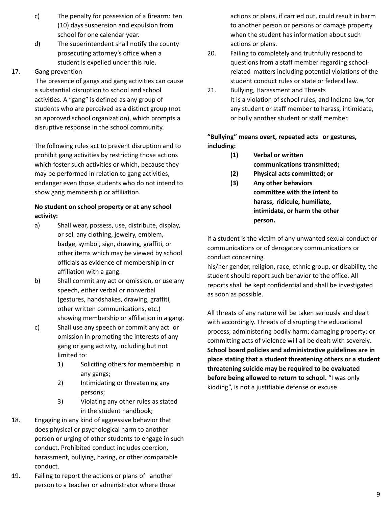- c) The penalty for possession of a firearm: ten (10) days suspension and expulsion from school for one calendar year.
- d) The superintendent shall notify the county prosecuting attorney's office when a student is expelled under this rule.

# 17. Gang prevention

The presence of gangs and gang activities can cause a substantial disruption to school and school activities. A "gang" is defined as any group of students who are perceived as a distinct group (not an approved school organization), which prompts a disruptive response in the school community.

The following rules act to prevent disruption and to prohibit gang activities by restricting those actions which foster such activities or which, because they may be performed in relation to gang activities, endanger even those students who do not intend to show gang membership or affiliation.

# **No student on school property or at any school activity:**

- a) Shall wear, possess, use, distribute, display, or sell any clothing, jewelry, emblem, badge, symbol, sign, drawing, graffiti, or other items which may be viewed by school officials as evidence of membership in or affiliation with a gang.
- b) Shall commit any act or omission, or use any speech, either verbal or nonverbal (gestures, handshakes, drawing, graffiti, other written communications, etc.) showing membership or affiliation in a gang.
- c) Shall use any speech or commit any act or omission in promoting the interests of any gang or gang activity, including but not limited to:
	- 1) Soliciting others for membership in any gangs;
	- 2) Intimidating or threatening any persons;
	- 3) Violating any other rules as stated in the student handbook;
- 18. Engaging in any kind of aggressive behavior that does physical or psychological harm to another person or urging of other students to engage in such conduct. Prohibited conduct includes coercion, harassment, bullying, hazing, or other comparable conduct.
- 19. Failing to report the actions or plans of another person to a teacher or administrator where those

actions or plans, if carried out, could result in harm to another person or persons or damage property when the student has information about such actions or plans.

- 20. Failing to completely and truthfully respond to questions from a staff member regarding schoolrelated matters including potential violations of the student conduct rules or state or federal law.
- 21. Bullying, Harassment and Threats It is a violation of school rules, and Indiana law, for any student or staff member to harass, intimidate, or bully another student or staff member.

# **"Bullying" means overt, repeated acts or gestures, including:**

- **(1) Verbal or written communications transmitted;**
- **(2) Physical acts committed; or**
- **(3) Any other behaviors committee with the intent to harass, ridicule, humiliate, intimidate, or harm the other person.**

If a student is the victim of any unwanted sexual conduct or communications or of derogatory communications or conduct concerning

his/her gender, religion, race, ethnic group, or disability, the student should report such behavior to the office. All reports shall be kept confidential and shall be investigated as soon as possible.

All threats of any nature will be taken seriously and dealt with accordingly. Threats of disrupting the educational process; administering bodily harm; damaging property; or committing acts of violence will all be dealt with severely**. School board policies and administrative guidelines are in place stating that a student threatening others or a student threatening suicide may be required to be evaluated before being allowed to return to school.** "I was only kidding", is not a justifiable defense or excuse.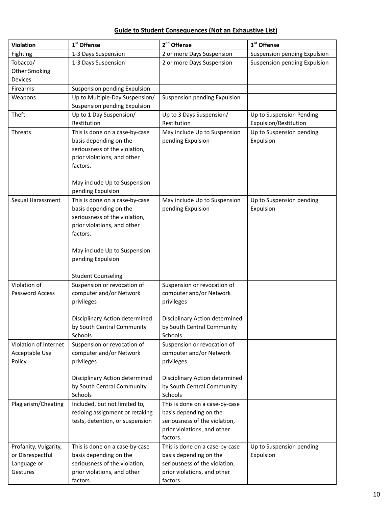# **Guide to Student Consequences (Not an Exhaustive List)**

| <b>Violation</b>                                                     | 1 <sup>st</sup> Offense                                                                                                              | 2 <sup>nd</sup> Offense                                                                                                              | 3rd Offense                                       |
|----------------------------------------------------------------------|--------------------------------------------------------------------------------------------------------------------------------------|--------------------------------------------------------------------------------------------------------------------------------------|---------------------------------------------------|
| Fighting                                                             | 1-3 Days Suspension                                                                                                                  | 2 or more Days Suspension                                                                                                            | Suspension pending Expulsion                      |
| Tobacco/                                                             | 1-3 Days Suspension                                                                                                                  | 2 or more Days Suspension                                                                                                            | Suspension pending Expulsion                      |
| <b>Other Smoking</b>                                                 |                                                                                                                                      |                                                                                                                                      |                                                   |
| Devices                                                              |                                                                                                                                      |                                                                                                                                      |                                                   |
| Firearms                                                             | Suspension pending Expulsion                                                                                                         |                                                                                                                                      |                                                   |
| Weapons                                                              | Up to Multiple-Day Suspension/<br>Suspension pending Expulsion                                                                       | Suspension pending Expulsion                                                                                                         |                                                   |
| Theft                                                                | Up to 1 Day Suspension/<br>Restitution                                                                                               | Up to 3 Days Suspension/<br>Restitution                                                                                              | Up to Suspension Pending<br>Expulsion/Restitution |
| <b>Threats</b>                                                       | This is done on a case-by-case<br>basis depending on the<br>seriousness of the violation,<br>prior violations, and other<br>factors. | May include Up to Suspension<br>pending Expulsion                                                                                    | Up to Suspension pending<br>Expulsion             |
|                                                                      | May include Up to Suspension<br>pending Expulsion                                                                                    |                                                                                                                                      |                                                   |
| Sexual Harassment                                                    | This is done on a case-by-case<br>basis depending on the<br>seriousness of the violation,<br>prior violations, and other<br>factors. | May include Up to Suspension<br>pending Expulsion                                                                                    | Up to Suspension pending<br>Expulsion             |
|                                                                      | May include Up to Suspension<br>pending Expulsion<br><b>Student Counseling</b>                                                       |                                                                                                                                      |                                                   |
| Violation of                                                         | Suspension or revocation of                                                                                                          | Suspension or revocation of                                                                                                          |                                                   |
| Password Access                                                      | computer and/or Network<br>privileges                                                                                                | computer and/or Network<br>privileges                                                                                                |                                                   |
|                                                                      | Disciplinary Action determined<br>by South Central Community<br>Schools                                                              | Disciplinary Action determined<br>by South Central Community<br>Schools                                                              |                                                   |
| Violation of Internet                                                | Suspension or revocation of                                                                                                          | Suspension or revocation of                                                                                                          |                                                   |
| Acceptable Use<br>Policy                                             | computer and/or Network<br>privileges                                                                                                | computer and/or Network<br>privileges                                                                                                |                                                   |
|                                                                      | Disciplinary Action determined<br>by South Central Community<br>Schools                                                              | Disciplinary Action determined<br>by South Central Community<br>Schools                                                              |                                                   |
| Plagiarism/Cheating                                                  | Included, but not limited to,<br>redoing assignment or retaking<br>tests, detention, or suspension                                   | This is done on a case-by-case<br>basis depending on the<br>seriousness of the violation,<br>prior violations, and other<br>factors. |                                                   |
| Profanity, Vulgarity,<br>or Disrespectful<br>Language or<br>Gestures | This is done on a case-by-case<br>basis depending on the<br>seriousness of the violation,<br>prior violations, and other<br>factors. | This is done on a case-by-case<br>basis depending on the<br>seriousness of the violation,<br>prior violations, and other<br>factors. | Up to Suspension pending<br>Expulsion             |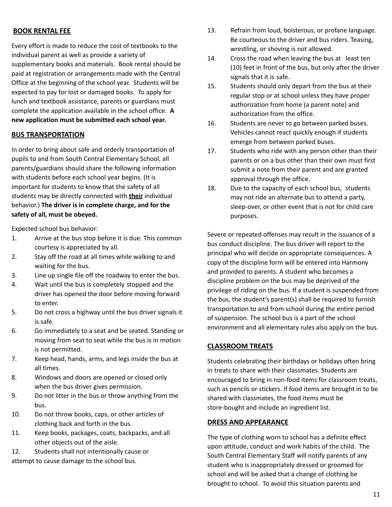## **BOOK RENTAL FEE**

Every effort is made to reduce the cost of textbooks to the individual parent as well as provide a variety of supplementary books and materials. Book rental should be paid at registration or arrangements made with the Central Office at the beginning of the school year. Students will be expected to pay for lost or damaged books. To apply for lunch and textbook assistance, parents or guardians must complete the application available in the school office. **A new application must be submitted each school year.**

#### **BUS TRANSPORTATION**

In order to bring about safe and orderly transportation of pupils to and from South Central Elementary School, all parents/guardians should share the following information with students before each school year begins. (It is important for students to know that the safety of all students may be directly connected with **their** individual behavior.) **The driver is in complete charge, and for the safety of all, must be obeyed.**

Expected school bus behavior:

- 1. Arrive at the bus stop before it is due. This common courtesy is appreciated by all.
- 2. Stay off the road at all times while walking to and waiting for the bus.
- 3. Line up single file off the roadway to enter the bus.
- 4. Wait until the bus is completely stopped and the driver has opened the door before moving forward to enter.
- 5. Do not cross a highway until the bus driver signals it is safe.
- 6. Go immediately to a seat and be seated. Standing or moving from seat to seat while the bus is in motion is not permitted.
- 7. Keep head, hands, arms, and legs inside the bus at all times.
- 8. Windows and doors are opened or closed only when the bus driver gives permission.
- 9. Do not litter in the bus or throw anything from the bus.
- 10. Do not throw books, caps, or other articles of clothing back and forth in the bus.
- 11. Keep books, packages, coats, backpacks, and all other objects out of the aisle.
- 12. Students shall not intentionally cause or attempt to cause damage to the school bus.
- 13. Refrain from loud, boisterous, or profane language. Be courteous to the driver and bus riders. Teasing, wrestling, or shoving is not allowed.
- 14. Cross the road when leaving the bus at least ten (10) feet in front of the bus, but only after the driver signals that it is safe.
- 15. Students should only depart from the bus at their regular stop or at school unless they have proper authorization from home (a parent note) and authorization from the office.
- 16. Students are never to go between parked buses. Vehicles cannot react quickly enough if students emerge from between parked buses.
- 17. Students who ride with any person other than their parents or on a bus other than their own must first submit a note from their parent and are granted approval through the office.
- 18. Due to the capacity of each school bus, students may not ride an alternate bus to attend a party, sleep-over, or other event that is not for child care purposes.

Severe or repeated offenses may result in the issuance of a bus conduct discipline. The bus driver will report to the principal who will decide on appropriate consequences. A copy of the discipline form will be entered into Harmony and provided to parents. A student who becomes a discipline problem on the bus may be deprived of the privilege of riding on the bus. If a student is suspended from the bus, the student's parent(s) shall be required to furnish transportation to and from school during the entire period of suspension. The school bus is a part of the school environment and all elementary rules also apply on the bus.

#### **CLASSROOM TREATS**

Students celebrating their birthdays or holidays often bring in treats to share with their classmates. Students are encouraged to bring in non-food items for classroom treats, such as pencils or stickers. If food items are brought in to be shared with classmates, the food items must be store-bought and include an ingredient list.

#### **DRESS AND APPEARANCE**

The type of clothing worn to school has a definite effect upon attitude, conduct and work habits of the child. The South Central Elementary Staff will notify parents of any student who is inappropriately dressed or groomed for school and will be asked that a change of clothing be brought to school. To avoid this situation parents and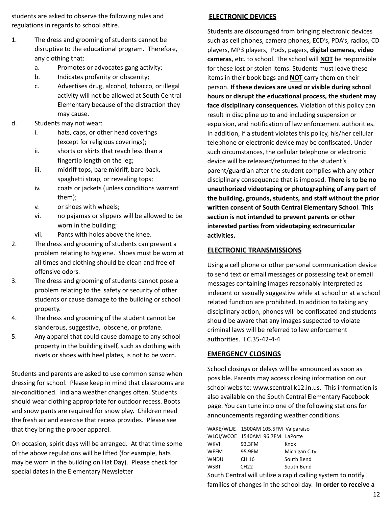students are asked to observe the following rules and regulations in regards to school attire.

- 1. The dress and grooming of students cannot be disruptive to the educational program. Therefore, any clothing that:
	- a. Promotes or advocates gang activity;
	- b. Indicates profanity or obscenity;
	- c. Advertises drug, alcohol, tobacco, or illegal activity will not be allowed at South Central Elementary because of the distraction they may cause.
- d. Students may not wear:
	- i. hats, caps, or other head coverings (except for religious coverings);
	- ii. shorts or skirts that reach less than a fingertip length on the leg;
	- iii. midriff tops, bare midriff, bare back, spaghetti strap, or revealing tops;
	- iv. coats or jackets (unless conditions warrant them);
	- v. or shoes with wheels;
	- vi. no pajamas or slippers will be allowed to be worn in the building;
	- vii. Pants with holes above the knee.
- 2. The dress and grooming of students can present a problem relating to hygiene. Shoes must be worn at all times and clothing should be clean and free of offensive odors.
- 3. The dress and grooming of students cannot pose a problem relating to the safety or security of other students or cause damage to the building or school property.
- 4. The dress and grooming of the student cannot be slanderous, suggestive, obscene, or profane.
- 5. Any apparel that could cause damage to any school property in the building itself, such as clothing with rivets or shoes with heel plates, is not to be worn.

Students and parents are asked to use common sense when dressing for school. Please keep in mind that classrooms are air-conditioned. Indiana weather changes often. Students should wear clothing appropriate for outdoor recess. Boots and snow pants are required for snow play. Children need the fresh air and exercise that recess provides. Please see that they bring the proper apparel.

On occasion, spirit days will be arranged. At that time some of the above regulations will be lifted (for example, hats may be worn in the building on Hat Day). Please check for special dates in the Elementary Newsletter

#### **ELECTRONIC DEVICES**

Students are discouraged from bringing electronic devices such as cell phones, camera phones, ECD's, PDA's, radios, CD players, MP3 players, iPods, pagers, **digital cameras, video cameras**, etc. to school. The school will **NOT** be responsible for these lost or stolen items. Students must leave these items in their book bags and **NOT** carry them on their person. **If these devices are used or visible during school hours or disrupt the educational process, the student may face disciplinary consequences.** Violation of this policy can result in discipline up to and including suspension or expulsion, and notification of law enforcement authorities. In addition, if a student violates this policy, his/her cellular telephone or electronic device may be confiscated. Under such circumstances, the cellular telephone or electronic device will be released/returned to the student's parent/guardian after the student complies with any other disciplinary consequence that is imposed. **There is to be no unauthorized videotaping or photographing of any part of the building, grounds, students, and staff without the prior written consent of South Central Elementary School**. **This section is not intended to prevent parents or other interested parties from videotaping extracurricular activities.**

## **ELECTRONIC TRANSMISSIONS**

Using a cell phone or other personal communication device to send text or email messages or possessing text or email messages containing images reasonably interpreted as indecent or sexually suggestive while at school or at a school related function are prohibited. In addition to taking any disciplinary action, phones will be confiscated and students should be aware that any images suspected to violate criminal laws will be referred to law enforcement authorities. I.C.35-42-4-4

## **EMERGENCY CLOSINGS**

School closings or delays will be announced as soon as possible. Parents may access closing information on our school website: www.scentral.k12.in.us. This information is also available on the South Central Elementary Facebook page. You can tune into one of the following stations for announcements regarding weather conditions.

|             | WAKE/WLJE 1500AM 105.5FM Valparaiso |               |
|-------------|-------------------------------------|---------------|
|             | WLOI/WCOE 1540AM 96.7FM LaPorte     |               |
| <b>WKVI</b> | 93.3FM                              | Knox          |
| <b>WFFM</b> | 95.9FM                              | Michigan City |
| <b>WNDU</b> | CH 16                               | South Bend    |
| <b>WSBT</b> | CH <sub>22</sub>                    | South Bend    |
|             |                                     |               |

South Central will utilize a rapid calling system to notify families of changes in the school day. **In order to receive a**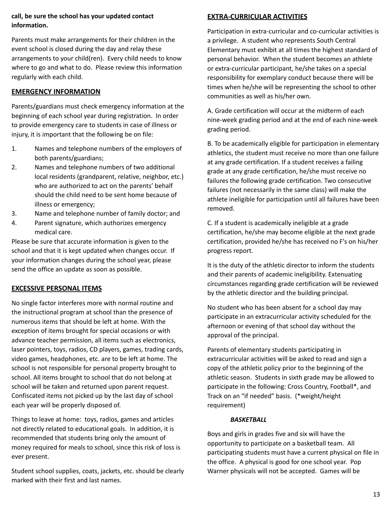# **call, be sure the school has your updated contact information.**

Parents must make arrangements for their children in the event school is closed during the day and relay these arrangements to your child(ren). Every child needs to know where to go and what to do. Please review this information regularly with each child.

# **EMERGENCY INFORMATION**

Parents/guardians must check emergency information at the beginning of each school year during registration. In order to provide emergency care to students in case of illness or injury, it is important that the following be on file:

- 1. Names and telephone numbers of the employers of both parents/guardians;
- 2. Names and telephone numbers of two additional local residents (grandparent, relative, neighbor, etc.) who are authorized to act on the parents' behalf should the child need to be sent home because of illness or emergency;
- 3. Name and telephone number of family doctor; and
- 4. Parent signature, which authorizes emergency medical care.

Please be sure that accurate information is given to the school and that it is kept updated when changes occur. If your information changes during the school year, please send the office an update as soon as possible.

# **EXCESSIVE PERSONAL ITEMS**

No single factor interferes more with normal routine and the instructional program at school than the presence of numerous items that should be left at home. With the exception of items brought for special occasions or with advance teacher permission, all items such as electronics, laser pointers, toys, radios, CD players, games, trading cards, video games, headphones, etc. are to be left at home. The school is not responsible for personal property brought to school. All items brought to school that do not belong at school will be taken and returned upon parent request. Confiscated items not picked up by the last day of school each year will be properly disposed of.

Things to leave at home: toys, radios, games and articles not directly related to educational goals. In addition, it is recommended that students bring only the amount of money required for meals to school, since this risk of loss is ever present.

Student school supplies, coats, jackets, etc. should be clearly marked with their first and last names.

# **EXTRA-CURRICULAR ACTIVITIES**

Participation in extra-curricular and co-curricular activities is a privilege. A student who represents South Central Elementary must exhibit at all times the highest standard of personal behavior. When the student becomes an athlete or extra-curricular participant, he/she takes on a special responsibility for exemplary conduct because there will be times when he/she will be representing the school to other communities as well as his/her own.

A. Grade certification will occur at the midterm of each nine-week grading period and at the end of each nine-week grading period.

B. To be academically eligible for participation in elementary athletics, the student must receive no more than one failure at any grade certification. If a student receives a failing grade at any grade certification, he/she must receive no failures the following grade certification. Two consecutive failures (not necessarily in the same class) will make the athlete ineligible for participation until all failures have been removed.

C. If a student is academically ineligible at a grade certification, he/she may become eligible at the next grade certification, provided he/she has received no F's on his/her progress report.

It is the duty of the athletic director to inform the students and their parents of academic ineligibility. Extenuating circumstances regarding grade certification will be reviewed by the athletic director and the building principal.

No student who has been absent for a school day may participate in an extracurricular activity scheduled for the afternoon or evening of that school day without the approval of the principal.

Parents of elementary students participating in extracurricular activities will be asked to read and sign a copy of the athletic policy prior to the beginning of the athletic season. Students in sixth grade may be allowed to participate in the following: Cross Country, Football\*, and Track on an "if needed" basis. (\*weight/height requirement)

## *BASKETBALL*

Boys and girls in grades five and six will have the opportunity to participate on a basketball team. All participating students must have a current physical on file in the office. A physical is good for one school year. Pop Warner physicals will not be accepted. Games will be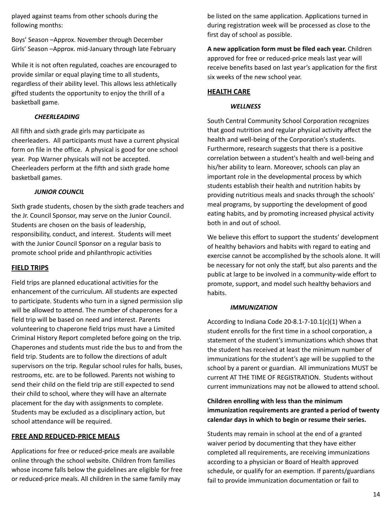played against teams from other schools during the following months:

Boys' Season –Approx. November through December Girls' Season –Approx. mid-January through late February

While it is not often regulated, coaches are encouraged to provide similar or equal playing time to all students, regardless of their ability level. This allows less athletically gifted students the opportunity to enjoy the thrill of a basketball game.

#### *CHEERLEADING*

All fifth and sixth grade girls may participate as cheerleaders. All participants must have a current physical form on file in the office. A physical is good for one school year. Pop Warner physicals will not be accepted. Cheerleaders perform at the fifth and sixth grade home basketball games.

## *JUNIOR COUNCIL*

Sixth grade students, chosen by the sixth grade teachers and the Jr. Council Sponsor, may serve on the Junior Council. Students are chosen on the basis of leadership, responsibility, conduct, and interest. Students will meet with the Junior Council Sponsor on a regular basis to promote school pride and philanthropic activities

## **FIELD TRIPS**

Field trips are planned educational activities for the enhancement of the curriculum. All students are expected to participate. Students who turn in a signed permission slip will be allowed to attend. The number of chaperones for a field trip will be based on need and interest. Parents volunteering to chaperone field trips must have a Limited Criminal History Report completed before going on the trip. Chaperones and students must ride the bus to and from the field trip. Students are to follow the directions of adult supervisors on the trip. Regular school rules for halls, buses, restrooms, etc. are to be followed. Parents not wishing to send their child on the field trip are still expected to send their child to school, where they will have an alternate placement for the day with assignments to complete. Students may be excluded as a disciplinary action, but school attendance will be required.

## **FREE AND REDUCED-PRICE MEALS**

Applications for free or reduced-price meals are available online through the school website. Children from families whose income falls below the guidelines are eligible for free or reduced-price meals. All children in the same family may

be listed on the same application. Applications turned in during registration week will be processed as close to the first day of school as possible.

**A new application form must be filed each year.** Children approved for free or reduced-price meals last year will receive benefits based on last year's application for the first six weeks of the new school year.

# **HEALTH CARE**

#### *WELLNESS*

South Central Community School Corporation recognizes that good nutrition and regular physical activity affect the health and well-being of the Corporation's students. Furthermore, research suggests that there is a positive correlation between a student's health and well-being and his/her ability to learn. Moreover, schools can play an important role in the developmental process by which students establish their health and nutrition habits by providing nutritious meals and snacks through the schools' meal programs, by supporting the development of good eating habits, and by promoting increased physical activity both in and out of school.

We believe this effort to support the students' development of healthy behaviors and habits with regard to eating and exercise cannot be accomplished by the schools alone. It will be necessary for not only the staff, but also parents and the public at large to be involved in a community-wide effort to promote, support, and model such healthy behaviors and habits.

#### *IMMUNIZATION*

According to Indiana Code 20-8.1-7-10.1(c)(1) When a student enrolls for the first time in a school corporation, a statement of the student's immunizations which shows that the student has received at least the minimum number of immunizations for the student's age will be supplied to the school by a parent or guardian. All immunizations MUST be current AT THE TIME OF REGISTRATION. Students without current immunizations may not be allowed to attend school.

# **Children enrolling with less than the minimum immunization requirements are granted a period of twenty calendar days in which to begin or resume their series.**

Students may remain in school at the end of a granted waiver period by documenting that they have either completed all requirements, are receiving immunizations according to a physician or Board of Health approved schedule, or qualify for an exemption. If parents/guardians fail to provide immunization documentation or fail to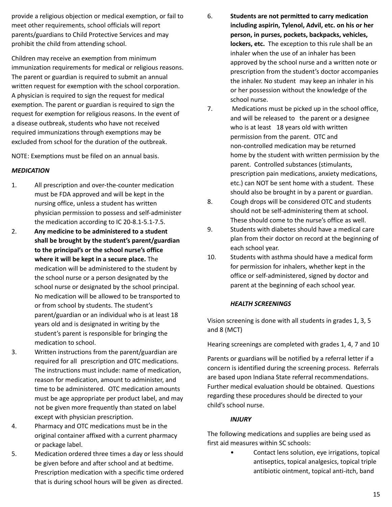provide a religious objection or medical exemption, or fail to meet other requirements, school officials will report parents/guardians to Child Protective Services and may prohibit the child from attending school.

Children may receive an exemption from minimum immunization requirements for medical or religious reasons. The parent or guardian is required to submit an annual written request for exemption with the school corporation. A physician is required to sign the request for medical exemption. The parent or guardian is required to sign the request for exemption for religious reasons. In the event of a disease outbreak, students who have not received required immunizations through exemptions may be excluded from school for the duration of the outbreak.

NOTE: Exemptions must be filed on an annual basis.

# *MEDICATION*

- 1. All prescription and over-the-counter medication must be FDA approved and will be kept in the nursing office, unless a student has written physician permission to possess and self-administer the medication according to IC 20-8.1-5.1-7.5.
- 2. **Any medicine to be administered to a student shall be brought by the student's parent/guardian to the principal's or the school nurse's office where it will be kept in a secure place.** The medication will be administered to the student by the school nurse or a person designated by the school nurse or designated by the school principal. No medication will be allowed to be transported to or from school by students. The student's parent/guardian or an individual who is at least 18 years old and is designated in writing by the student's parent is responsible for bringing the medication to school.
- 3. Written instructions from the parent/guardian are required for all prescription and OTC medications. The instructions must include: name of medication, reason for medication, amount to administer, and time to be administered. OTC medication amounts must be age appropriate per product label, and may not be given more frequently than stated on label except with physician prescription.
- 4. Pharmacy and OTC medications must be in the original container affixed with a current pharmacy or package label.
- 5. Medication ordered three times a day or less should be given before and after school and at bedtime. Prescription medication with a specific time ordered that is during school hours will be given as directed.
- 6. **Students are not permitted to carry medication including aspirin, Tylenol, Advil, etc. on his or her person, in purses, pockets, backpacks, vehicles, lockers, etc.** The exception to this rule shall be an inhaler when the use of an inhaler has been approved by the school nurse and a written note or prescription from the student's doctor accompanies the inhaler. No student may keep an inhaler in his or her possession without the knowledge of the school nurse.
- 7. Medications must be picked up in the school office, and will be released to the parent or a designee who is at least 18 years old with written permission from the parent. OTC and non-controlled medication may be returned home by the student with written permission by the parent. Controlled substances (stimulants, prescription pain medications, anxiety medications, etc.) can NOT be sent home with a student. These should also be brought in by a parent or guardian.
- 8. Cough drops will be considered OTC and students should not be self-administering them at school. These should come to the nurse's office as well.
- 9. Students with diabetes should have a medical care plan from their doctor on record at the beginning of each school year.
- 10. Students with asthma should have a medical form for permission for inhalers, whether kept in the office or self-administered, signed by doctor and parent at the beginning of each school year.

## *HEALTH SCREENINGS*

Vision screening is done with all students in grades 1, 3, 5 and 8 (MCT)

Hearing screenings are completed with grades 1, 4, 7 and 10

Parents or guardians will be notified by a referral letter if a concern is identified during the screening process. Referrals are based upon Indiana State referral recommendations. Further medical evaluation should be obtained. Questions regarding these procedures should be directed to your child's school nurse.

## *INJURY*

The following medications and supplies are being used as first aid measures within SC schools:

> • Contact lens solution, eye irrigations, topical antiseptics, topical analgesics, topical triple antibiotic ointment, topical anti-itch, band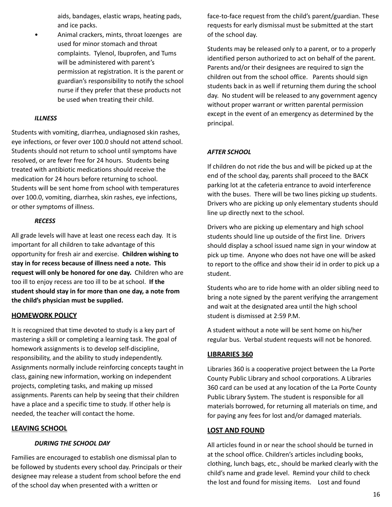aids, bandages, elastic wraps, heating pads, and ice packs.

• Animal crackers, mints, throat lozenges are used for minor stomach and throat complaints. Tylenol, Ibuprofen, and Tums will be administered with parent's permission at registration. It is the parent or guardian's responsibility to notify the school nurse if they prefer that these products not be used when treating their child.

## *ILLNESS*

Students with vomiting, diarrhea, undiagnosed skin rashes, eye infections, or fever over 100.0 should not attend school. Students should not return to school until symptoms have resolved, or are fever free for 24 hours. Students being treated with antibiotic medications should receive the medication for 24 hours before returning to school. Students will be sent home from school with temperatures over 100.0, vomiting, diarrhea, skin rashes, eye infections, or other symptoms of illness.

## *RECESS*

All grade levels will have at least one recess each day. It is important for all children to take advantage of this opportunity for fresh air and exercise. **Children wishing to stay in for recess because of illness need a note. This request will only be honored for one day.** Children who are too ill to enjoy recess are too ill to be at school. **If the student should stay in for more than one day, a note from the child's physician must be supplied.**

## **HOMEWORK POLICY**

It is recognized that time devoted to study is a key part of mastering a skill or completing a learning task. The goal of homework assignments is to develop self-discipline, responsibility, and the ability to study independently. Assignments normally include reinforcing concepts taught in class, gaining new information, working on independent projects, completing tasks, and making up missed assignments. Parents can help by seeing that their children have a place and a specific time to study. If other help is needed, the teacher will contact the home.

## **LEAVING SCHOOL**

## *DURING THE SCHOOL DAY*

Families are encouraged to establish one dismissal plan to be followed by students every school day. Principals or their designee may release a student from school before the end of the school day when presented with a written or

face-to-face request from the child's parent/guardian. These requests for early dismissal must be submitted at the start of the school day.

Students may be released only to a parent, or to a properly identified person authorized to act on behalf of the parent. Parents and/or their designees are required to sign the children out from the school office. Parents should sign students back in as well if returning them during the school day. No student will be released to any government agency without proper warrant or written parental permission except in the event of an emergency as determined by the principal.

# *AFTER SCHOOL*

If children do not ride the bus and will be picked up at the end of the school day, parents shall proceed to the BACK parking lot at the cafeteria entrance to avoid interference with the buses. There will be two lines picking up students. Drivers who are picking up only elementary students should line up directly next to the school.

Drivers who are picking up elementary and high school students should line up outside of the first line. Drivers should display a school issued name sign in your window at pick up time. Anyone who does not have one will be asked to report to the office and show their id in order to pick up a student.

Students who are to ride home with an older sibling need to bring a note signed by the parent verifying the arrangement and wait at the designated area until the high school student is dismissed at 2:59 P.M.

A student without a note will be sent home on his/her regular bus. Verbal student requests will not be honored.

## **LIBRARIES 360**

Libraries 360 is a cooperative project between the La Porte County Public Library and school corporations. A Libraries 360 card can be used at any location of the La Porte County Public Library System. The student is responsible for all materials borrowed, for returning all materials on time, and for paying any fees for lost and/or damaged materials.

## **LOST AND FOUND**

All articles found in or near the school should be turned in at the school office. Children's articles including books, clothing, lunch bags, etc., should be marked clearly with the child's name and grade level. Remind your child to check the lost and found for missing items. Lost and found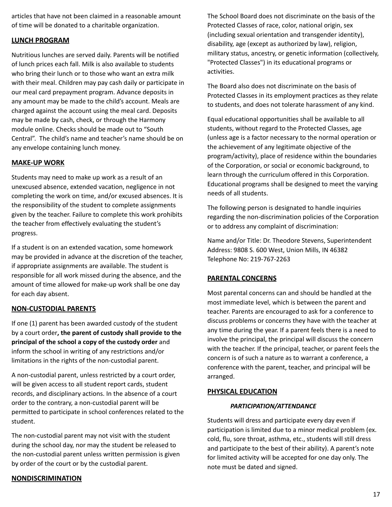articles that have not been claimed in a reasonable amount of time will be donated to a charitable organization.

# **LUNCH PROGRAM**

Nutritious lunches are served daily. Parents will be notified of lunch prices each fall. Milk is also available to students who bring their lunch or to those who want an extra milk with their meal. Children may pay cash daily or participate in our meal card prepayment program. Advance deposits in any amount may be made to the child's account. Meals are charged against the account using the meal card. Deposits may be made by cash, check, or through the Harmony module online. Checks should be made out to "South Central". The child's name and teacher's name should be on any envelope containing lunch money.

## **MAKE-UP WORK**

Students may need to make up work as a result of an unexcused absence, extended vacation, negligence in not completing the work on time, and/or excused absences. It is the responsibility of the student to complete assignments given by the teacher. Failure to complete this work prohibits the teacher from effectively evaluating the student's progress.

If a student is on an extended vacation, some homework may be provided in advance at the discretion of the teacher, if appropriate assignments are available. The student is responsible for all work missed during the absence, and the amount of time allowed for make-up work shall be one day for each day absent.

## **NON-CUSTODIAL PARENTS**

If one (1) parent has been awarded custody of the student by a court order**, the parent of custody shall provide to the principal of the school a copy of the custody order** and inform the school in writing of any restrictions and/or limitations in the rights of the non-custodial parent.

A non-custodial parent, unless restricted by a court order, will be given access to all student report cards, student records, and disciplinary actions. In the absence of a court order to the contrary, a non-custodial parent will be permitted to participate in school conferences related to the student.

The non-custodial parent may not visit with the student during the school day, nor may the student be released to the non-custodial parent unless written permission is given by order of the court or by the custodial parent.

#### **NONDISCRIMINATION**

The School Board does not discriminate on the basis of the Protected Classes of race, color, national origin, sex (including sexual orientation and transgender identity), disability, age (except as authorized by law), religion, military status, ancestry, or genetic information (collectively, "Protected Classes") in its educational programs or activities.

The Board also does not discriminate on the basis of Protected Classes in its employment practices as they relate to students, and does not tolerate harassment of any kind.

Equal educational opportunities shall be available to all students, without regard to the Protected Classes, age (unless age is a factor necessary to the normal operation or the achievement of any legitimate objective of the program/activity), place of residence within the boundaries of the Corporation, or social or economic background, to learn through the curriculum offered in this Corporation. Educational programs shall be designed to meet the varying needs of all students.

The following person is designated to handle inquiries regarding the non-discrimination policies of the Corporation or to address any complaint of discrimination:

Name and/or Title: Dr. Theodore Stevens, Superintendent Address: 9808 S. 600 West, Union Mills, IN 46382 Telephone No: 219-767-2263

## **PARENTAL CONCERNS**

Most parental concerns can and should be handled at the most immediate level, which is between the parent and teacher. Parents are encouraged to ask for a conference to discuss problems or concerns they have with the teacher at any time during the year. If a parent feels there is a need to involve the principal, the principal will discuss the concern with the teacher. If the principal, teacher, or parent feels the concern is of such a nature as to warrant a conference, a conference with the parent, teacher, and principal will be arranged.

#### **PHYSICAL EDUCATION**

#### *PARTICIPATION/ATTENDANCE*

Students will dress and participate every day even if participation is limited due to a minor medical problem (ex. cold, flu, sore throat, asthma, etc., students will still dress and participate to the best of their ability). A parent's note for limited activity will be accepted for one day only. The note must be dated and signed.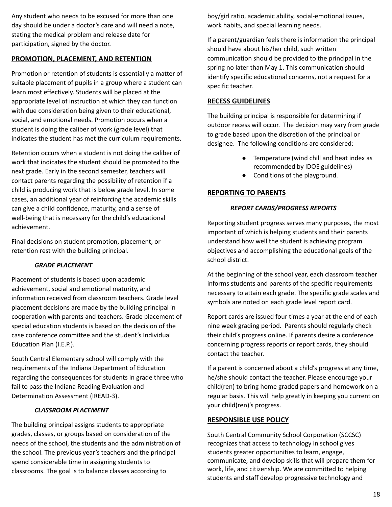Any student who needs to be excused for more than one day should be under a doctor's care and will need a note, stating the medical problem and release date for participation, signed by the doctor.

# **PROMOTION, PLACEMENT, AND RETENTION**

Promotion or retention of students is essentially a matter of suitable placement of pupils in a group where a student can learn most effectively. Students will be placed at the appropriate level of instruction at which they can function with due consideration being given to their educational, social, and emotional needs. Promotion occurs when a student is doing the caliber of work (grade level) that indicates the student has met the curriculum requirements.

Retention occurs when a student is not doing the caliber of work that indicates the student should be promoted to the next grade. Early in the second semester, teachers will contact parents regarding the possibility of retention if a child is producing work that is below grade level. In some cases, an additional year of reinforcing the academic skills can give a child confidence, maturity, and a sense of well-being that is necessary for the child's educational achievement.

Final decisions on student promotion, placement, or retention rest with the building principal.

#### *GRADE PLACEMENT*

Placement of students is based upon academic achievement, social and emotional maturity, and information received from classroom teachers. Grade level placement decisions are made by the building principal in cooperation with parents and teachers. Grade placement of special education students is based on the decision of the case conference committee and the student's Individual Education Plan (I.E.P.).

South Central Elementary school will comply with the requirements of the Indiana Department of Education regarding the consequences for students in grade three who fail to pass the Indiana Reading Evaluation and Determination Assessment (IREAD-3).

#### *CLASSROOM PLACEMENT*

The building principal assigns students to appropriate grades, classes, or groups based on consideration of the needs of the school, the students and the administration of the school. The previous year's teachers and the principal spend considerable time in assigning students to classrooms. The goal is to balance classes according to

boy/girl ratio, academic ability, social-emotional issues, work habits, and special learning needs.

If a parent/guardian feels there is information the principal should have about his/her child, such written communication should be provided to the principal in the spring no later than May 1. This communication should identify specific educational concerns, not a request for a specific teacher.

## **RECESS GUIDELINES**

The building principal is responsible for determining if outdoor recess will occur. The decision may vary from grade to grade based upon the discretion of the principal or designee. The following conditions are considered:

- Temperature (wind chill and heat index as recommended by IDOE guidelines)
- Conditions of the playground.

# **REPORTING TO PARENTS**

## *REPORT CARDS/PROGRESS REPORTS*

Reporting student progress serves many purposes, the most important of which is helping students and their parents understand how well the student is achieving program objectives and accomplishing the educational goals of the school district.

At the beginning of the school year, each classroom teacher informs students and parents of the specific requirements necessary to attain each grade. The specific grade scales and symbols are noted on each grade level report card.

Report cards are issued four times a year at the end of each nine week grading period. Parents should regularly check their child's progress online. If parents desire a conference concerning progress reports or report cards, they should contact the teacher.

If a parent is concerned about a child's progress at any time, he/she should contact the teacher. Please encourage your child(ren) to bring home graded papers and homework on a regular basis. This will help greatly in keeping you current on your child(ren)'s progress.

## **RESPONSIBLE USE POLICY**

South Central Community School Corporation (SCCSC) recognizes that access to technology in school gives students greater opportunities to learn, engage, communicate, and develop skills that will prepare them for work, life, and citizenship. We are committed to helping students and staff develop progressive technology and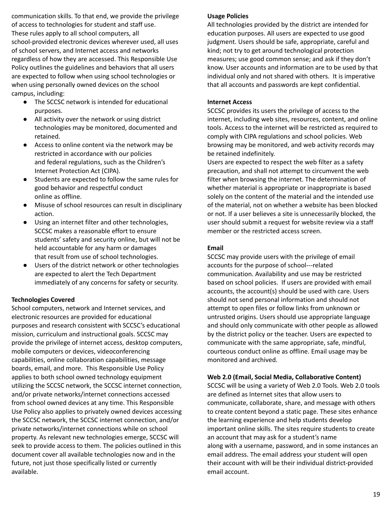communication skills. To that end, we provide the privilege of access to technologies for student and staff use. These rules apply to all school computers, all school-provided electronic devices wherever used, all uses of school servers, and Internet access and networks regardless of how they are accessed. This Responsible Use Policy outlines the guidelines and behaviors that all users are expected to follow when using school technologies or when using personally owned devices on the school campus, including:

- The SCCSC network is intended for educational purposes.
- All activity over the network or using district technologies may be monitored, documented and retained.
- Access to online content via the network may be restricted in accordance with our policies and federal regulations, such as the Children's Internet Protection Act (CIPA).
- Students are expected to follow the same rules for good behavior and respectful conduct online as offline.
- Misuse of school resources can result in disciplinary action.
- Using an internet filter and other technologies, SCCSC makes a reasonable effort to ensure students' safety and security online, but will not be held accountable for any harm or damages that result from use of school technologies.
- Users of the district network or other technologies are expected to alert the Tech Department immediately of any concerns for safety or security.

## **Technologies Covered**

School computers, network and Internet services, and electronic resources are provided for educational purposes and research consistent with SCCSC's educational mission, curriculum and instructional goals. SCCSC may provide the privilege of internet access, desktop computers, mobile computers or devices, videoconferencing capabilities, online collaboration capabilities, message boards, email, and more. This Responsible Use Policy applies to both school owned technology equipment utilizing the SCCSC network, the SCCSC internet connection, and/or private networks/internet connections accessed from school owned devices at any time. This Responsible Use Policy also applies to privately owned devices accessing the SCCSC network, the SCCSC internet connection, and/or private networks/internet connections while on school property. As relevant new technologies emerge, SCCSC will seek to provide access to them. The policies outlined in this document cover all available technologies now and in the future, not just those specifically listed or currently available.

#### **Usage Policies**

All technologies provided by the district are intended for education purposes. All users are expected to use good judgment. Users should be safe, appropriate, careful and kind; not try to get around technological protection measures; use good common sense; and ask if they don't know. User accounts and information are to be used by that individual only and not shared with others. It is imperative that all accounts and passwords are kept confidential.

#### **Internet Access**

SCCSC provides its users the privilege of access to the internet, including web sites, resources, content, and online tools. Access to the internet will be restricted as required to comply with CIPA regulations and school policies. Web browsing may be monitored, and web activity records may be retained indefinitely.

Users are expected to respect the web filter as a safety precaution, and shall not attempt to circumvent the web filter when browsing the internet. The determination of whether material is appropriate or inappropriate is based solely on the content of the material and the intended use of the material, not on whether a website has been blocked or not. If a user believes a site is unnecessarily blocked, the user should submit a request for website review via a staff member or the restricted access screen.

## **Email**

SCCSC may provide users with the privilege of email accounts for the purpose of school---related communication. Availability and use may be restricted based on school policies. If users are provided with email accounts, the account(s) should be used with care. Users should not send personal information and should not attempt to open files or follow links from unknown or untrusted origins. Users should use appropriate language and should only communicate with other people as allowed by the district policy or the teacher. Users are expected to communicate with the same appropriate, safe, mindful, courteous conduct online as offline. Email usage may be monitored and archived.

#### **Web 2.0 (Email, Social Media, Collaborative Content)**

SCCSC will be using a variety of Web 2.0 Tools. Web 2.0 tools are defined as Internet sites that allow users to communicate, collaborate, share, and message with others to create content beyond a static page. These sites enhance the learning experience and help students develop important online skills. The sites require students to create an account that may ask for a student's name along with a username, password, and in some instances an email address. The email address your student will open their account with will be their individual district-provided email account.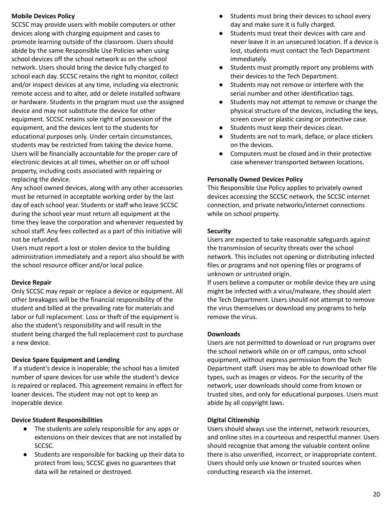#### **Mobile Devices Policy**

SCCSC may provide users with mobile computers or other devices along with charging equipment and cases to promote learning outside of the classroom. Users should abide by the same Responsible Use Policies when using school devices off the school network as on the school network. Users should bring the device fully charged to school each day. SCCSC retains the right to monitor, collect and/or inspect devices at any time, including via electronic remote access and to alter, add or delete installed software or hardware. Students in the program must use the assigned device and may not substitute the device for other equipment. SCCSC retains sole right of possession of the equipment, and the devices lent to the students for educational purposes only. Under certain circumstances, students may be restricted from taking the device home. Users will be financially accountable for the proper care of electronic devices at all times, whether on or off school property, including costs associated with repairing or replacing the device.

Any school owned devices, along with any other accessories must be returned in acceptable working order by the last day of each school year. Students or staff who leave SCCSC during the school year must return all equipment at the time they leave the corporation and whenever requested by school staff. Any fees collected as a part of this initiative will not be refunded.

Users must report a lost or stolen device to the building administration immediately and a report also should be with the school resource officer and/or local police.

#### **Device Repair**

Only SCCSC may repair or replace a device or equipment. All other breakages will be the financial responsibility of the student and billed at the prevailing rate for materials and labor or full replacement. Loss or theft of the equipment is also the student's responsibility and will result in the student being charged the full replacement cost to purchase a new device.

#### **Device Spare Equipment and Lending**

If a student's device is inoperable; the school has a limited number of spare devices for use while the student's device is repaired or replaced. This agreement remains in effect for loaner devices. The student may not opt to keep an inoperable device.

## **Device Student Responsibilities**

- The students are solely responsible for any apps or extensions on their devices that are not installed by SCCSC.
- Students are responsible for backing up their data to protect from loss; SCCSC gives no guarantees that data will be retained or destroyed.
- Students must bring their devices to school every day and make sure it is fully charged.
- Students must treat their devices with care and never leave it in an unsecured location. If a device is lost, students must contact the Tech Department immediately.
- Students must promptly report any problems with their devices to the Tech Department.
- Students may not remove or interfere with the serial number and other identification tags.
- Students may not attempt to remove or change the physical structure of the devices, including the keys, screen cover or plastic casing or protective case.
- Students must keep their devices clean.
- Students are not to mark, deface, or place stickers on the devices.
- Computers must be closed and in their protective case whenever transported between locations.

# **Personally Owned Devices Policy**

This Responsible Use Policy applies to privately owned devices accessing the SCCSC network, the SCCSC internet connection, and private networks/internet connections while on school property.

## **Security**

Users are expected to take reasonable safeguards against the transmission of security threats over the school network. This includes not opening or distributing infected files or programs and not opening files or programs of unknown or untrusted origin.

If users believe a computer or mobile device they are using might be infected with a virus/malware, they should alert the Tech Department. Users should not attempt to remove the virus themselves or download any programs to help remove the virus.

#### **Downloads**

Users are not permitted to download or run programs over the school network while on or off campus, onto school equipment, without express permission from the Tech Department staff. Users may be able to download other file types, such as images or videos. For the security of the network, user downloads should come from known or trusted sites, and only for educational purposes. Users must abide by all copyright laws.

## **Digital Citizenship**

Users should always use the internet, network resources, and online sites in a courteous and respectful manner. Users should recognize that among the valuable content online there is also unverified, incorrect, or inappropriate content. Users should only use known or trusted sources when conducting research via the internet.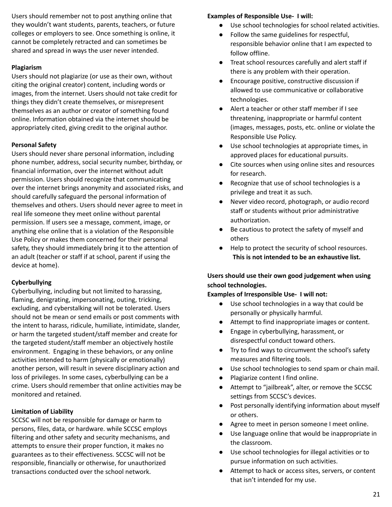Users should remember not to post anything online that they wouldn't want students, parents, teachers, or future colleges or employers to see. Once something is online, it cannot be completely retracted and can sometimes be shared and spread in ways the user never intended.

## **Plagiarism**

Users should not plagiarize (or use as their own, without citing the original creator) content, including words or images, from the internet. Users should not take credit for things they didn't create themselves, or misrepresent themselves as an author or creator of something found online. Information obtained via the internet should be appropriately cited, giving credit to the original author.

## **Personal Safety**

Users should never share personal information, including phone number, address, social security number, birthday, or financial information, over the internet without adult permission. Users should recognize that communicating over the internet brings anonymity and associated risks, and should carefully safeguard the personal information of themselves and others. Users should never agree to meet in real life someone they meet online without parental permission. If users see a message, comment, image, or anything else online that is a violation of the Responsible Use Policy or makes them concerned for their personal safety, they should immediately bring it to the attention of an adult (teacher or staff if at school, parent if using the device at home).

## **Cyberbullying**

Cyberbullying, including but not limited to harassing, flaming, denigrating, impersonating, outing, tricking, excluding, and cyberstalking will not be tolerated. Users should not be mean or send emails or post comments with the intent to harass, ridicule, humiliate, intimidate, slander, or harm the targeted student/staff member and create for the targeted student/staff member an objectively hostile environment. Engaging in these behaviors, or any online activities intended to harm (physically or emotionally) another person, will result in severe disciplinary action and loss of privileges. In some cases, cyberbullying can be a crime. Users should remember that online activities may be monitored and retained.

## **Limitation of Liability**

SCCSC will not be responsible for damage or harm to persons, files, data, or hardware. while SCCSC employs filtering and other safety and security mechanisms, and attempts to ensure their proper function, it makes no guarantees as to their effectiveness. SCCSC will not be responsible, financially or otherwise, for unauthorized transactions conducted over the school network.

#### **Examples of Responsible Use- I will:**

- Use school technologies for school related activities.
- Follow the same guidelines for respectful, responsible behavior online that I am expected to follow offline.
- Treat school resources carefully and alert staff if there is any problem with their operation.
- Encourage positive, constructive discussion if allowed to use communicative or collaborative technologies.
- Alert a teacher or other staff member if I see threatening, inappropriate or harmful content (images, messages, posts, etc. online or violate the Responsible Use Policy.
- Use school technologies at appropriate times, in approved places for educational pursuits.
- Cite sources when using online sites and resources for research.
- Recognize that use of school technologies is a privilege and treat it as such.
- Never video record, photograph, or audio record staff or students without prior administrative authorization.
- Be cautious to protect the safety of myself and others
- Help to protect the security of school resources. **This is not intended to be an exhaustive list.**

# **Users should use their own good judgement when using school technologies.**

#### **Examples of Irresponsible Use- I will not:**

- Use school technologies in a way that could be personally or physically harmful.
- Attempt to find inappropriate images or content.
- Engage in cyberbullying, harassment, or disrespectful conduct toward others.
- Try to find ways to circumvent the school's safety measures and filtering tools.
- Use school technologies to send spam or chain mail.
- Plagiarize content I find online.
- Attempt to "jailbreak", alter, or remove the SCCSC settings from SCCSC's devices.
- Post personally identifying information about myself or others.
- Agree to meet in person someone I meet online.
- Use language online that would be inappropriate in the classroom.
- Use school technologies for illegal activities or to pursue information on such activities.
- Attempt to hack or access sites, servers, or content that isn't intended for my use.